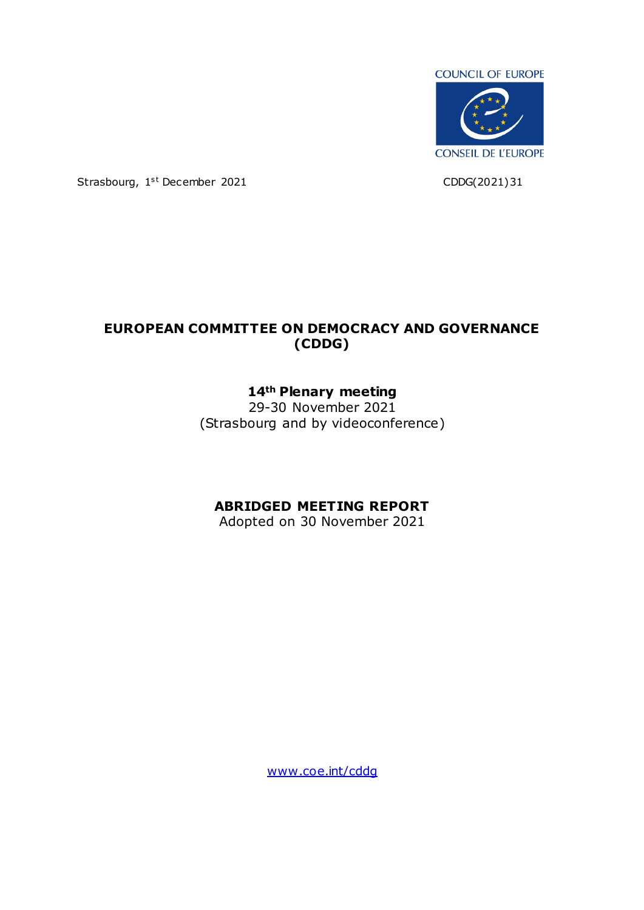

Strasbourg, 1<sup>st</sup> December 2021 CDDG(2021)31

# **EUROPEAN COMMITTEE ON DEMOCRACY AND GOVERNANCE (CDDG)**

## **14th Plenary meeting**

29-30 November 2021 (Strasbourg and by videoconference)

## **ABRIDGED MEETING REPORT**

Adopted on 30 November 2021

[www.coe.int/cddg](http://www.coe.int/cddg)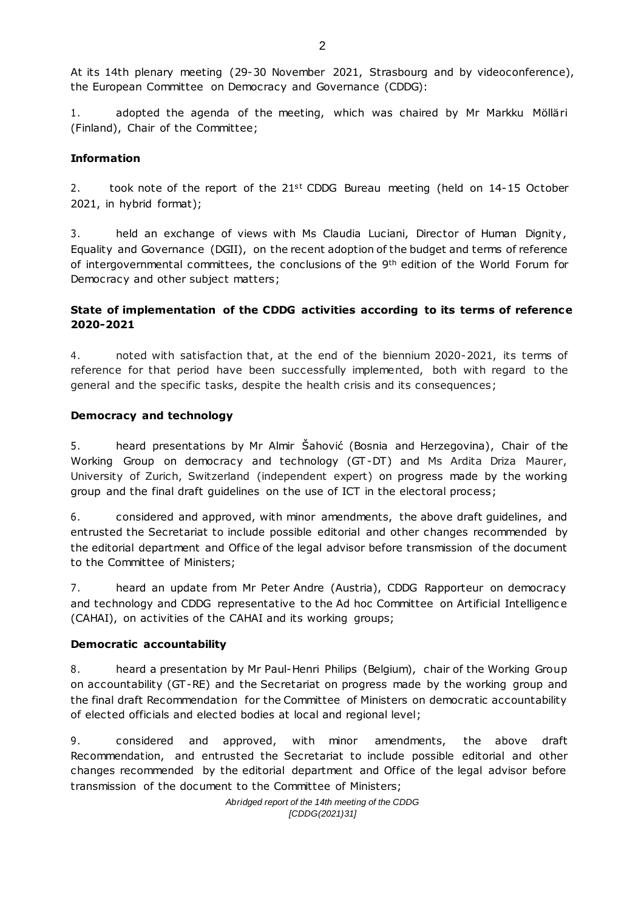At its 14th plenary meeting (29-30 November 2021, Strasbourg and by videoconference), the European Committee on Democracy and Governance (CDDG):

1. adopted the agenda of the meeting, which was chaired by Mr Markku Mölläri (Finland), Chair of the Committee;

#### **Information**

2. took note of the report of the  $21<sup>st</sup>$  CDDG Bureau meeting (held on  $14-15$  October 2021, in hybrid format);

3. held an exchange of views with Ms Claudia Luciani, Director of Human Dignity , Equality and Governance (DGII), on the recent adoption of the budget and terms of reference of intergovernmental committees, the conclusions of the 9<sup>th</sup> edition of the World Forum for Democracy and other subject matters;

## **State of implementation of the CDDG activities according to its terms of reference 2020-2021**

4. noted with satisfaction that, at the end of the biennium 2020-2021, its terms of reference for that period have been successfully implemented, both with regard to the general and the specific tasks, despite the health crisis and its consequences;

#### **Democracy and technology**

5. heard presentations by Mr Almir Šahović (Bosnia and Herzegovina), Chair of the Working Group on democracy and technology (GT-DT) and Ms Ardita Driza Maurer, University of Zurich, Switzerland (independent expert) on progress made by the working group and the final draft guidelines on the use of ICT in the electoral process;

6. considered and approved, with minor amendments, the above draft guidelines, and entrusted the Secretariat to include possible editorial and other changes recommended by the editorial department and Office of the legal advisor before transmission of the document to the Committee of Ministers;

7. heard an update from Mr Peter Andre (Austria), CDDG Rapporteur on democracy and technology and CDDG representative to the Ad hoc Committee on Artificial Intelligence (CAHAI), on activities of the CAHAI and its working groups;

#### **Democratic accountability**

8. heard a presentation by Mr Paul-Henri Philips (Belgium), chair of the Working Group on accountability (GT-RE) and the Secretariat on progress made by the working group and the final draft Recommendation for the Committee of Ministers on democratic accountability of elected officials and elected bodies at local and regional level;

9. considered and approved, with minor amendments, the above draft Recommendation, and entrusted the Secretariat to include possible editorial and other changes recommended by the editorial department and Office of the legal advisor before transmission of the document to the Committee of Ministers;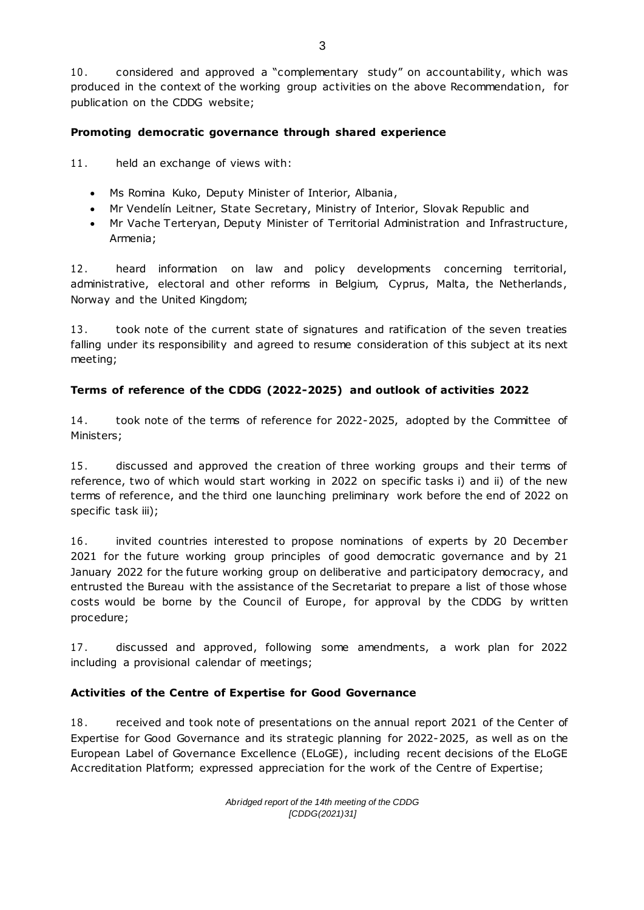10. considered and approved a "complementary study" on accountability, which was produced in the context of the working group activities on the above Recommendation, for publication on the CDDG website;

## **Promoting democratic governance through shared experience**

11. held an exchange of views with:

- Ms Romina Kuko, Deputy Minister of Interior, Albania,
- Mr Vendelín Leitner, State Secretary, Ministry of Interior, Slovak Republic and
- Mr Vache Terteryan, Deputy Minister of Territorial Administration and Infrastructure, Armenia;

12 . heard information on law and policy developments concerning territorial, administrative, electoral and other reforms in Belgium, Cyprus, Malta, the Netherlands, Norway and the United Kingdom;

13. took note of the current state of signatures and ratification of the seven treaties falling under its responsibility and agreed to resume consideration of this subject at its next meeting;

## **Terms of reference of the CDDG (2022-2025) and outlook of activities 2022**

14 . took note of the terms of reference for 2022-2025, adopted by the Committee of Ministers;

15 . discussed and approved the creation of three working groups and their terms of reference, two of which would start working in 2022 on specific tasks i) and ii) of the new terms of reference, and the third one launching preliminary work before the end of 2022 on specific task iii);

16 . invited countries interested to propose nominations of experts by 20 December 2021 for the future working group principles of good democratic governance and by 21 January 2022 for the future working group on deliberative and participatory democracy, and entrusted the Bureau with the assistance of the Secretariat to prepare a list of those whose costs would be borne by the Council of Europe, for approval by the CDDG by written procedure;

17. discussed and approved, following some amendments, a work plan for 2022 including a provisional calendar of meetings;

## **Activities of the Centre of Expertise for Good Governance**

18. received and took note of presentations on the annual report 2021 of the Center of Expertise for Good Governance and its strategic planning for 2022-2025, as well as on the European Label of Governance Excellence (ELoGE), including recent decisions of the ELoGE Accreditation Platform; expressed appreciation for the work of the Centre of Expertise;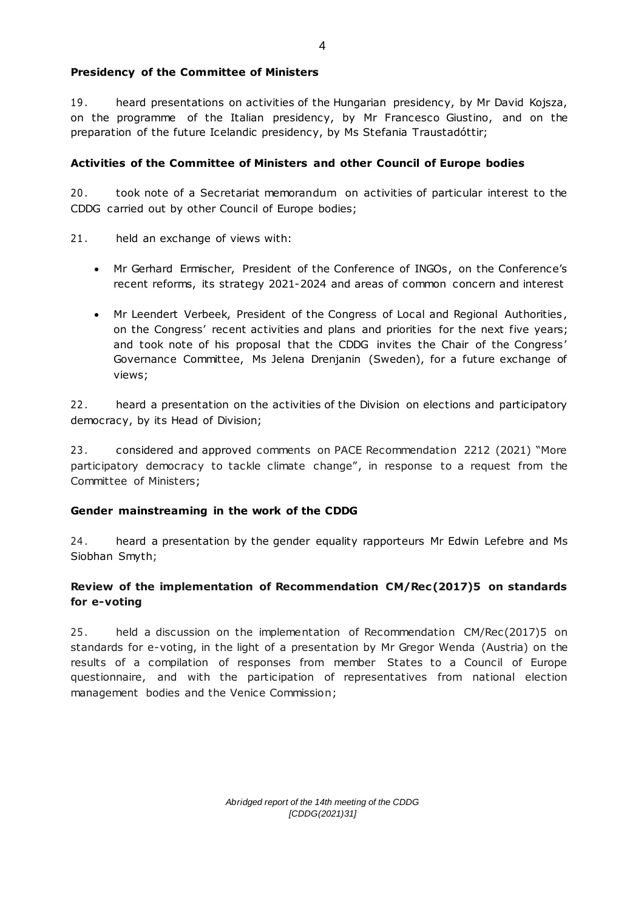#### **Presidency of the Committee of Ministers**

19 . heard presentations on activities of the Hungarian presidency, by Mr David Kojsza, on the programme of the Italian presidency, by Mr Francesco Giustino, and on the preparation of the future Icelandic presidency, by Ms Stefania Traustadóttir;

#### **Activities of the Committee of Ministers and other Council of Europe bodies**

20 . took note of a Secretariat memorandum on activities of particular interest to the CDDG carried out by other Council of Europe bodies;

- 21. held an exchange of views with:
	- Mr Gerhard Ermischer, President of the Conference of INGOs, on the Conference's recent reforms, its strategy 2021-2024 and areas of common concern and interest
	- Mr Leendert Verbeek, President of the Congress of Local and Regional Authorities , on the Congress' recent activities and plans and priorities for the next five years; and took note of his proposal that the CDDG invites the Chair of the Congress' Governance Committee, Ms Jelena Drenjanin (Sweden), for a future exchange of views;

22. heard a presentation on the activities of the Division on elections and participatory democracy, by its Head of Division;

23 . considered and approved comments on PACE Recommendation 2212 (2021) "More participatory democracy to tackle climate change", in response to a request from the Committee of Ministers;

#### **Gender mainstreaming in the work of the CDDG**

24. heard a presentation by the gender equality rapporteurs Mr Edwin Lefebre and Ms Siobhan Smyth;

## **Review of the implementation of Recommendation CM/Rec(2017)5 on standards for e-voting**

25. held a discussion on the implementation of Recommendation CM/Rec(2017)5 on standards for e-voting, in the light of a presentation by Mr Gregor Wenda (Austria) on the results of a compilation of responses from member States to a Council of Europe questionnaire, and with the participation of representatives from national election management bodies and the Venice Commission;

> *Abridged report of the 14th meeting of the CDDG [CDDG(2021)31]*